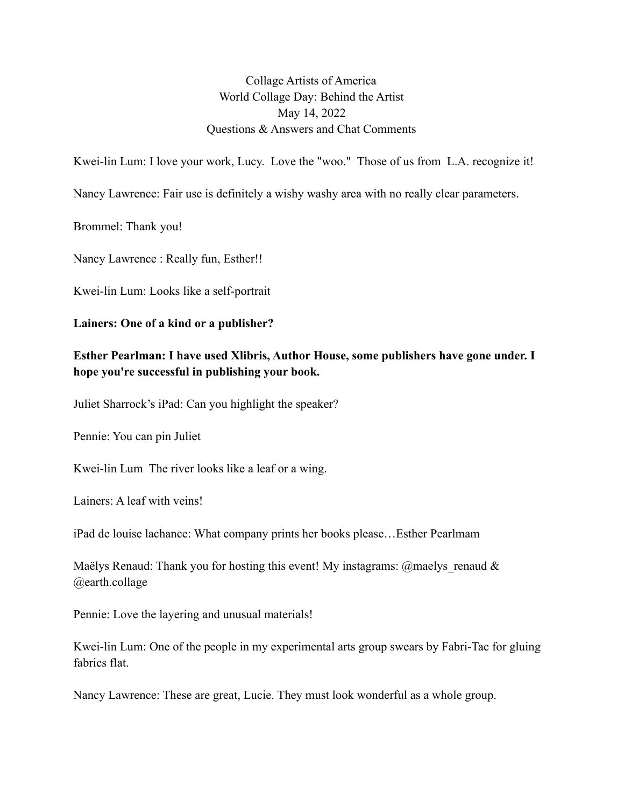Collage Artists of America World Collage Day: Behind the Artist May 14, 2022 Questions & Answers and Chat Comments

Kwei-lin Lum: I love your work, Lucy. Love the "woo." Those of us from L.A. recognize it!

Nancy Lawrence: Fair use is definitely a wishy washy area with no really clear parameters.

Brommel: Thank you!

Nancy Lawrence : Really fun, Esther!!

Kwei-lin Lum: Looks like a self-portrait

## **Lainers: One of a kind or a publisher?**

## **Esther Pearlman: I have used Xlibris, Author House, some publishers have gone under. I hope you're successful in publishing your book.**

Juliet Sharrock's iPad: Can you highlight the speaker?

Pennie: You can pin Juliet

Kwei-lin Lum The river looks like a leaf or a wing.

Lainers: A leaf with veins!

iPad de louise lachance: What company prints her books please…Esther Pearlmam

Maëlys Renaud: Thank you for hosting this event! My instagrams: @maelys renaud  $\&$ @earth.collage

Pennie: Love the layering and unusual materials!

Kwei-lin Lum: One of the people in my experimental arts group swears by Fabri-Tac for gluing fabrics flat.

Nancy Lawrence: These are great, Lucie. They must look wonderful as a whole group.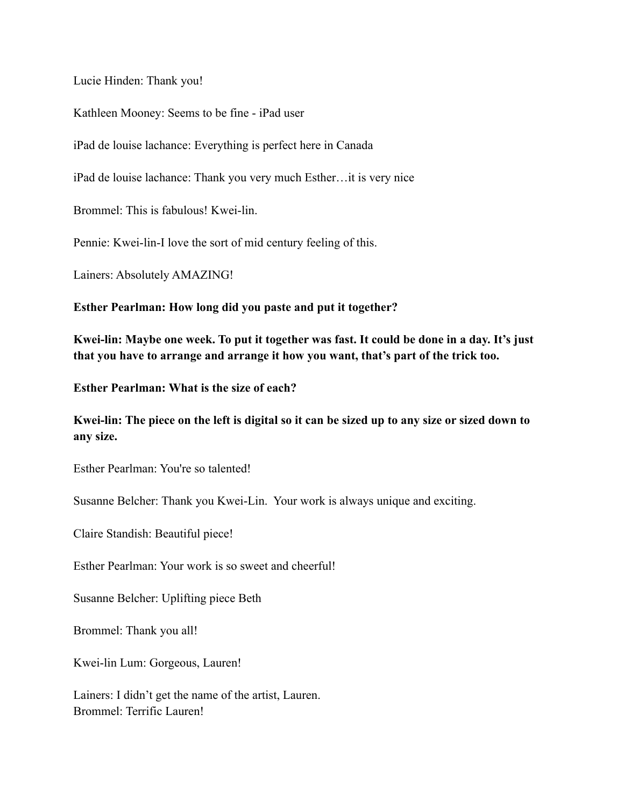Lucie Hinden: Thank you!

Kathleen Mooney: Seems to be fine - iPad user

iPad de louise lachance: Everything is perfect here in Canada

iPad de louise lachance: Thank you very much Esther…it is very nice

Brommel: This is fabulous! Kwei-lin.

Pennie: Kwei-lin-I love the sort of mid century feeling of this.

Lainers: Absolutely AMAZING!

**Esther Pearlman: How long did you paste and put it together?**

**Kwei-lin: Maybe one week. To put it together was fast. It could be done in a day. It's just that you have to arrange and arrange it how you want, that's part of the trick too.**

**Esther Pearlman: What is the size of each?**

**Kwei-lin: The piece on the left is digital so it can be sized up to any size or sized down to any size.**

Esther Pearlman: You're so talented!

Susanne Belcher: Thank you Kwei-Lin. Your work is always unique and exciting.

Claire Standish: Beautiful piece!

Esther Pearlman: Your work is so sweet and cheerful!

Susanne Belcher: Uplifting piece Beth

Brommel: Thank you all!

Kwei-lin Lum: Gorgeous, Lauren!

Lainers: I didn't get the name of the artist, Lauren. Brommel: Terrific Lauren!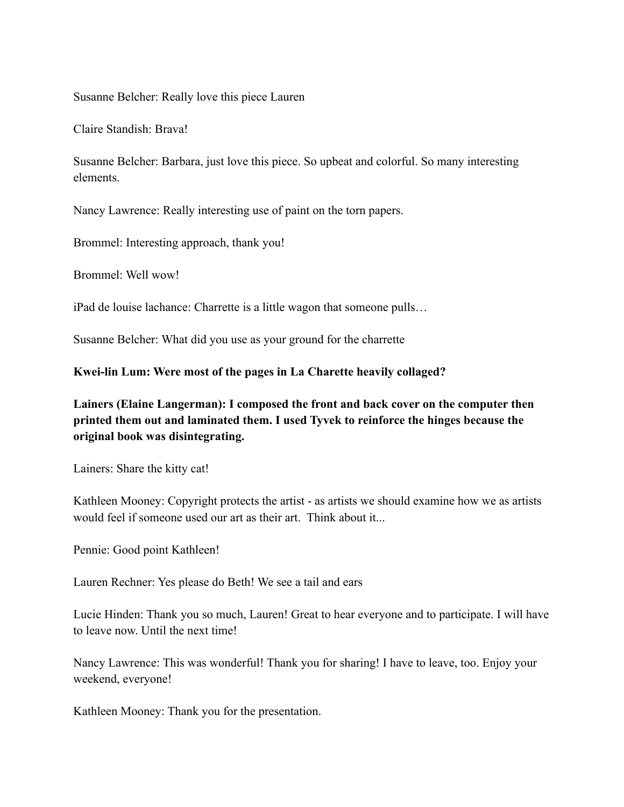Susanne Belcher: Really love this piece Lauren

Claire Standish: Brava!

Susanne Belcher: Barbara, just love this piece. So upbeat and colorful. So many interesting elements.

Nancy Lawrence: Really interesting use of paint on the torn papers.

Brommel: Interesting approach, thank you!

Brommel: Well wow!

iPad de louise lachance: Charrette is a little wagon that someone pulls…

Susanne Belcher: What did you use as your ground for the charrette

**Kwei-lin Lum: Were most of the pages in La Charette heavily collaged?**

**Lainers (Elaine Langerman): I composed the front and back cover on the computer then printed them out and laminated them. I used Tyvek to reinforce the hinges because the original book was disintegrating.**

Lainers: Share the kitty cat!

Kathleen Mooney: Copyright protects the artist - as artists we should examine how we as artists would feel if someone used our art as their art. Think about it...

Pennie: Good point Kathleen!

Lauren Rechner: Yes please do Beth! We see a tail and ears

Lucie Hinden: Thank you so much, Lauren! Great to hear everyone and to participate. I will have to leave now. Until the next time!

Nancy Lawrence: This was wonderful! Thank you for sharing! I have to leave, too. Enjoy your weekend, everyone!

Kathleen Mooney: Thank you for the presentation.